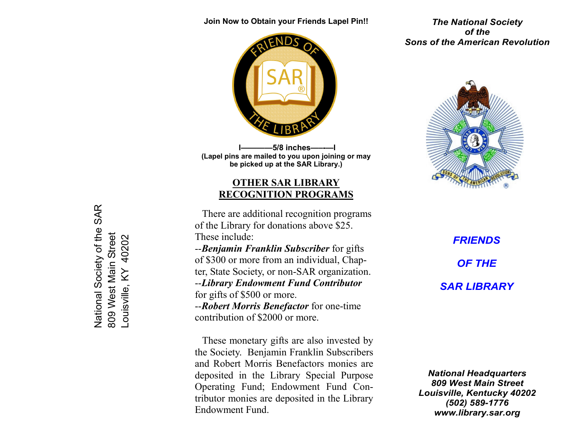Join Now to Obtain your Friends Lapel Pin!!



-5/8 inches- (Lapel pins are mailed to you upon joining or may be picked up at the SAR Library.)

## OTHER SAR LIBRARYRECOGNITION PROGRAMS

There are additional recognition programs of the Library for donations above \$25. These include:<br>--Benjamin Franklin Subscriber for gifts of \$300 or more from an individual, Chap-

ter, State Society, or non-SAR organization.<br>--Library Endowment Fund Contributor

for gifts of \$500 or more.<br>--Robert Morris Benefactor for one-time contribution of \$2000 or more.

 These monetary gifts are also invested by the Society. Benjamin Franklin Subscribers and Robert Morris Benefactors monies are deposited in the Library Special Purpose Operating Fund; Endowment Fund Contributor monies are deposited in the Library Endowment Fund.

The National Society of the Sons of the American Revolution



**FRIENDS** OF THE SAR LIBRARY

National Headquarters 809 West Main Street Louisville, Kentucky 40202 (502) 589-1776 www.library.sar.org

 National Society of the SAR National Society of the SAR 809 West Main Street 809 West Main Street Louisville, KY 40202 40202 -ouisville, KY